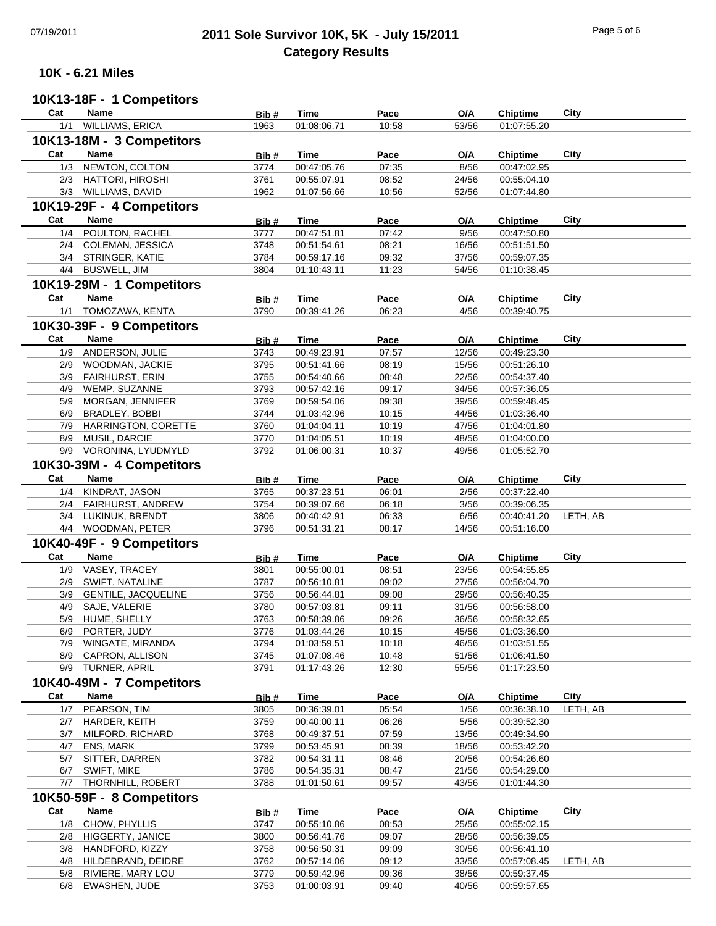# 07/19/2011 **2011 Sole Survivor 10K, 5K - July 15/2011** Page 5 of 6 **Category Results**

#### **10K - 6.21 Miles**

# **10K13-18F - 1 Competitors**

| Cat | <b>Name</b>                | Bib# | Time        | Pace  | O/A   | <b>Chiptime</b> | City     |
|-----|----------------------------|------|-------------|-------|-------|-----------------|----------|
| 1/1 | WILLIAMS, ERICA            | 1963 | 01:08:06.71 | 10:58 | 53/56 | 01:07:55.20     |          |
|     | 10K13-18M - 3 Competitors  |      |             |       |       |                 |          |
|     |                            |      |             |       |       |                 |          |
| Cat | Name                       | Bib# | <b>Time</b> | Pace  | O/A   | <b>Chiptime</b> | City     |
| 1/3 | NEWTON, COLTON             | 3774 | 00:47:05.76 | 07:35 | 8/56  | 00:47:02.95     |          |
|     | 2/3 HATTORI, HIROSHI       | 3761 | 00:55:07.91 | 08:52 | 24/56 | 00:55:04.10     |          |
|     | 3/3 WILLIAMS, DAVID        | 1962 | 01:07:56.66 | 10:56 | 52/56 | 01:07:44.80     |          |
|     | 10K19-29F - 4 Competitors  |      |             |       |       |                 |          |
| Cat |                            |      |             |       |       |                 |          |
|     | Name                       | Bib# | Time        | Pace  | O/A   | Chiptime        | City     |
| 1/4 | POULTON, RACHEL            | 3777 | 00:47:51.81 | 07:42 | 9/56  | 00:47:50.80     |          |
|     | 2/4 COLEMAN, JESSICA       | 3748 | 00:51:54.61 | 08:21 | 16/56 | 00:51:51.50     |          |
|     | 3/4 STRINGER, KATIE        | 3784 | 00:59:17.16 | 09:32 | 37/56 | 00:59:07.35     |          |
|     | 4/4 BUSWELL, JIM           | 3804 | 01:10:43.11 | 11:23 | 54/56 | 01:10:38.45     |          |
|     | 10K19-29M - 1 Competitors  |      |             |       |       |                 |          |
| Cat | Name                       | Bib# | <b>Time</b> | Pace  | O/A   | <b>Chiptime</b> | City     |
| 1/1 | TOMOZAWA, KENTA            |      | 00:39:41.26 | 06:23 | 4/56  | 00:39:40.75     |          |
|     |                            | 3790 |             |       |       |                 |          |
|     | 10K30-39F - 9 Competitors  |      |             |       |       |                 |          |
| Cat | Name                       | Bib# | Time        | Pace  | O/A   | Chiptime        | City     |
| 1/9 | ANDERSON, JULIE            | 3743 | 00:49:23.91 | 07:57 | 12/56 | 00:49:23.30     |          |
|     | 2/9 WOODMAN, JACKIE        | 3795 | 00:51:41.66 | 08:19 | 15/56 | 00:51:26.10     |          |
| 3/9 | FAIRHURST, ERIN            | 3755 | 00:54:40.66 | 08:48 | 22/56 | 00:54:37.40     |          |
| 4/9 | WEMP, SUZANNE              | 3793 | 00:57:42.16 | 09:17 | 34/56 | 00:57:36.05     |          |
| 5/9 | MORGAN, JENNIFER           | 3769 |             | 09:38 | 39/56 |                 |          |
|     |                            |      | 00:59:54.06 |       |       | 00:59:48.45     |          |
| 6/9 | BRADLEY, BOBBI             | 3744 | 01:03:42.96 | 10:15 | 44/56 | 01:03:36.40     |          |
| 7/9 | HARRINGTON, CORETTE        | 3760 | 01:04:04.11 | 10:19 | 47/56 | 01:04:01.80     |          |
|     | 8/9 MUSIL, DARCIE          | 3770 | 01:04:05.51 | 10:19 | 48/56 | 01:04:00.00     |          |
|     | 9/9 VORONINA, LYUDMYLD     | 3792 | 01:06:00.31 | 10:37 | 49/56 | 01:05:52.70     |          |
|     | 10K30-39M - 4 Competitors  |      |             |       |       |                 |          |
| Cat | Name                       | Bib# | <b>Time</b> | Pace  | O/A   | <b>Chiptime</b> | City     |
| 1/4 | KINDRAT, JASON             | 3765 | 00:37:23.51 | 06:01 | 2/56  | 00:37:22.40     |          |
|     |                            | 3754 | 00:39:07.66 | 06:18 | 3/56  | 00:39:06.35     |          |
| 2/4 | FAIRHURST, ANDREW          |      |             |       |       |                 |          |
| 3/4 | LUKINUK, BRENDT            | 3806 | 00:40:42.91 | 06:33 | 6/56  | 00:40:41.20     | LETH, AB |
|     | 4/4 WOODMAN, PETER         | 3796 | 00:51:31.21 | 08:17 | 14/56 | 00:51:16.00     |          |
|     | 10K40-49F - 9 Competitors  |      |             |       |       |                 |          |
| Cat | Name                       | Bib# | Time        | Pace  | O/A   | Chiptime        | City     |
| 1/9 | VASEY, TRACEY              | 3801 | 00:55:00.01 | 08:51 | 23/56 | 00:54:55.85     |          |
| 2/9 | SWIFT, NATALINE            | 3787 | 00:56:10.81 | 09:02 | 27/56 | 00:56:04.70     |          |
| 3/9 | <b>GENTILE, JACQUELINE</b> | 3756 | 00:56:44.81 | 09:08 | 29/56 | 00:56:40.35     |          |
| 4/9 | SAJE, VALERIE              | 3780 | 00:57:03.81 | 09:11 | 31/56 | 00:56:58.00     |          |
| 5/9 |                            | 3763 |             | 09:26 | 36/56 | 00:58:32.65     |          |
|     | HUME, SHELLY               |      | 00:58:39.86 |       |       |                 |          |
| 6/9 | PORTER, JUDY               | 3776 | 01:03:44.26 | 10:15 | 45/56 | 01:03:36.90     |          |
|     | 7/9 WINGATE, MIRANDA       | 3794 | 01:03:59.51 | 10:18 | 46/56 | 01:03:51.55     |          |
|     | 8/9 CAPRON, ALLISON        | 3745 | 01:07:08.46 | 10:48 | 51/56 | 01:06:41.50     |          |
|     | 9/9 TURNER, APRIL          | 3791 | 01:17:43.26 | 12:30 | 55/56 | 01:17:23.50     |          |
|     | 10K40-49M - 7 Competitors  |      |             |       |       |                 |          |
| Cat | Name                       | Bib# | Time        | Pace  | O/A   | Chiptime        | City     |
| 1/7 | PEARSON, TIM               | 3805 | 00:36:39.01 | 05:54 | 1/56  | 00:36:38.10     | LETH, AB |
|     | HARDER, KEITH              | 3759 | 00:40:00.11 | 06:26 | 5/56  | 00:39:52.30     |          |
| 2/7 |                            |      |             |       |       |                 |          |
| 3/7 | MILFORD, RICHARD           | 3768 | 00:49:37.51 | 07:59 | 13/56 | 00:49:34.90     |          |
|     | 4/7 ENS, MARK              | 3799 | 00:53:45.91 | 08:39 | 18/56 | 00:53:42.20     |          |
| 5/7 | SITTER, DARREN             | 3782 | 00:54:31.11 | 08:46 | 20/56 | 00:54:26.60     |          |
|     | 6/7 SWIFT, MIKE            | 3786 | 00:54:35.31 | 08:47 | 21/56 | 00:54:29.00     |          |
|     | 7/7 THORNHILL, ROBERT      | 3788 | 01:01:50.61 | 09:57 | 43/56 | 01:01:44.30     |          |
|     | 10K50-59F - 8 Competitors  |      |             |       |       |                 |          |
| Cat | Name                       |      |             |       |       |                 | City     |
|     | CHOW, PHYLLIS              | Bib# | Time        | Pace  | O/A   | Chiptime        |          |
| 1/8 |                            | 3747 | 00:55:10.86 | 08:53 | 25/56 | 00:55:02.15     |          |
|     | 2/8 HIGGERTY, JANICE       | 3800 | 00:56:41.76 | 09:07 | 28/56 | 00:56:39.05     |          |
| 3/8 | HANDFORD, KIZZY            | 3758 | 00:56:50.31 | 09:09 | 30/56 | 00:56:41.10     |          |
| 4/8 | HILDEBRAND, DEIDRE         | 3762 | 00:57:14.06 | 09:12 | 33/56 | 00:57:08.45     | LETH, AB |
| 5/8 | RIVIERE, MARY LOU          | 3779 | 00:59:42.96 | 09:36 | 38/56 | 00:59:37.45     |          |
|     | EWASHEN, JUDE              | 3753 |             | 09:40 | 40/56 |                 |          |